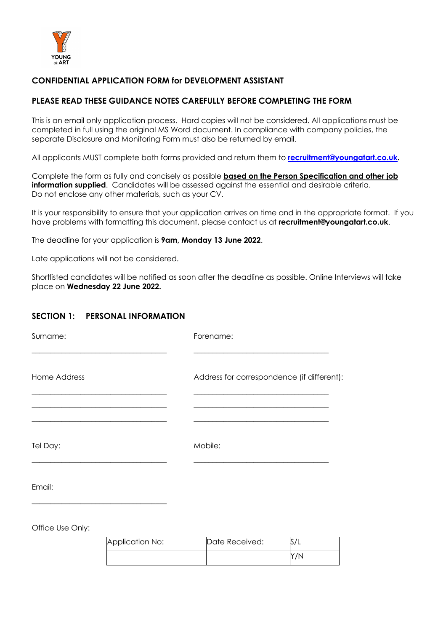

## **CONFIDENTIAL APPLICATION FORM for DEVELOPMENT ASSISTANT**

### **PLEASE READ THESE GUIDANCE NOTES CAREFULLY BEFORE COMPLETING THE FORM**

This is an email only application process. Hard copies will not be considered. All applications must be completed in full using the original MS Word document. In compliance with company policies, the separate Disclosure and Monitoring Form must also be returned by email.

All applicants MUST complete both forms provided and return them to **recruitment@youngatart.co.uk.**

Complete the form as fully and concisely as possible **based on the Person Specification and other job information supplied.** Candidates will be assessed against the essential and desirable criteria. Do not enclose any other materials, such as your CV.

It is your responsibility to ensure that your application arrives on time and in the appropriate format. If you have problems with formatting this document, please contact us at **recruitment@youngatart.co.uk**.

The deadline for your application is **9am, Monday 13 June 2022**.

Late applications will not be considered.

Shortlisted candidates will be notified as soon after the deadline as possible. Online Interviews will take place on **Wednesday 22 June 2022.** 

### **SECTION 1: PERSONAL INFORMATION**

| Surname:            | Forename:                                  |
|---------------------|--------------------------------------------|
| <b>Home Address</b> | Address for correspondence (if different): |
| Tel Day:            | Mobile:                                    |
| Email:              |                                            |

Office Use Only:

| Application No: | Date Received: |     |
|-----------------|----------------|-----|
|                 |                | Y/N |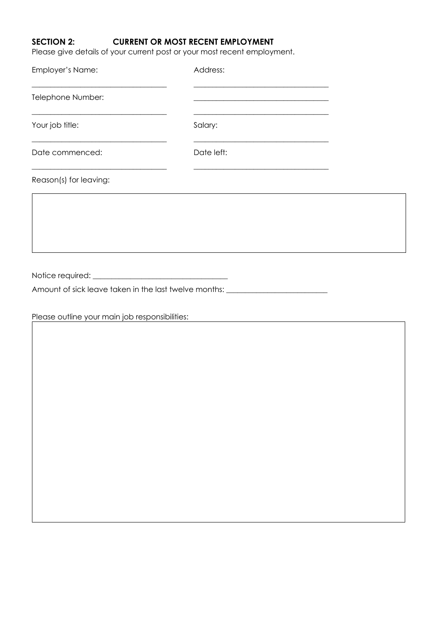# **SECTION 2: CURRENT OR MOST RECENT EMPLOYMENT**

Please give details of your current post or your most recent employment.

| Employer's Name:                                                                                                                          | Address:                                                                                                                         |  |
|-------------------------------------------------------------------------------------------------------------------------------------------|----------------------------------------------------------------------------------------------------------------------------------|--|
| Telephone Number:                                                                                                                         | <u> 1989 - Jan James James Barbara, martxa amerikan personal (h. 1989).</u>                                                      |  |
| Your job title:                                                                                                                           | <u> 1980 - Johann Barn, mars ar breithinn ar chwaraeth a bhaile ann an t-an an t-an ann an t-an ann an t-an an an</u><br>Salary: |  |
| <u> 1989 - Johann Stoff, deutscher Stoffen und der Stoffen und der Stoffen und der Stoffen und der Stoffen und der</u><br>Date commenced: | Date left:                                                                                                                       |  |
| Reason(s) for leaving:                                                                                                                    |                                                                                                                                  |  |
|                                                                                                                                           |                                                                                                                                  |  |
|                                                                                                                                           |                                                                                                                                  |  |
|                                                                                                                                           |                                                                                                                                  |  |
| Amount of sick leave taken in the last twelve months: __________________________                                                          |                                                                                                                                  |  |
| Please outline your main job responsibilities:                                                                                            |                                                                                                                                  |  |
|                                                                                                                                           |                                                                                                                                  |  |
|                                                                                                                                           |                                                                                                                                  |  |
|                                                                                                                                           |                                                                                                                                  |  |
|                                                                                                                                           |                                                                                                                                  |  |
|                                                                                                                                           |                                                                                                                                  |  |
|                                                                                                                                           |                                                                                                                                  |  |
|                                                                                                                                           |                                                                                                                                  |  |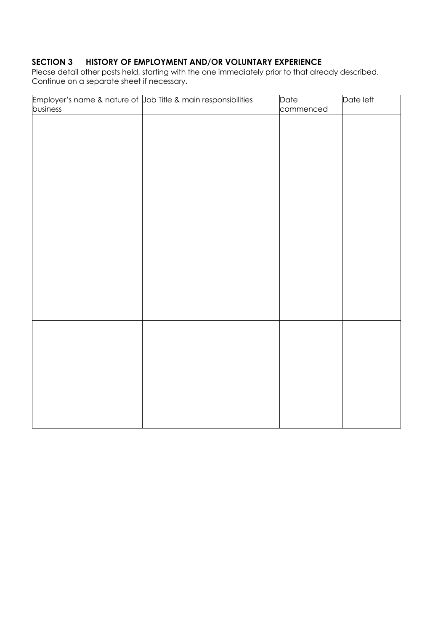# **SECTION 3 HISTORY OF EMPLOYMENT AND/OR VOLUNTARY EXPERIENCE**

Please detail other posts held, starting with the one immediately prior to that already described. Continue on a separate sheet if necessary.

|          | Employer's name & nature of Job Title & main responsibilities | Date      | Date left |
|----------|---------------------------------------------------------------|-----------|-----------|
| business |                                                               | commenced |           |
|          |                                                               |           |           |
|          |                                                               |           |           |
|          |                                                               |           |           |
|          |                                                               |           |           |
|          |                                                               |           |           |
|          |                                                               |           |           |
|          |                                                               |           |           |
|          |                                                               |           |           |
|          |                                                               |           |           |
|          |                                                               |           |           |
|          |                                                               |           |           |
|          |                                                               |           |           |
|          |                                                               |           |           |
|          |                                                               |           |           |
|          |                                                               |           |           |
|          |                                                               |           |           |
|          |                                                               |           |           |
|          |                                                               |           |           |
|          |                                                               |           |           |
|          |                                                               |           |           |
|          |                                                               |           |           |
|          |                                                               |           |           |
|          |                                                               |           |           |
|          |                                                               |           |           |
|          |                                                               |           |           |
|          |                                                               |           |           |
|          |                                                               |           |           |
|          |                                                               |           |           |
|          |                                                               |           |           |
|          |                                                               |           |           |
|          |                                                               |           |           |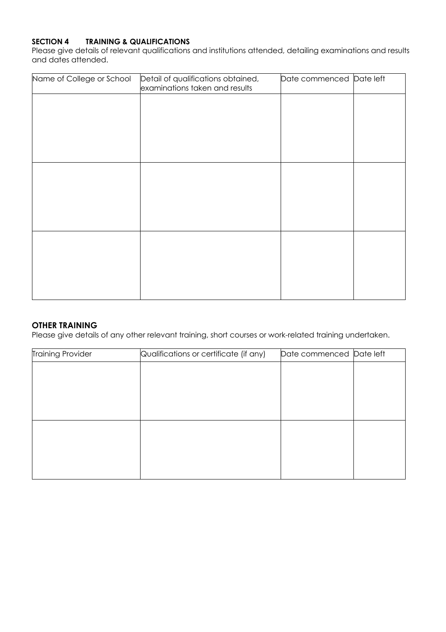## **SECTION 4 TRAINING & QUALIFICATIONS**

Please give details of relevant qualifications and institutions attended, detailing examinations and results and dates attended.

| Name of College or School | Detail of qualifications obtained,<br>examinations taken and results | Date commenced Date left |  |
|---------------------------|----------------------------------------------------------------------|--------------------------|--|
|                           |                                                                      |                          |  |
|                           |                                                                      |                          |  |
|                           |                                                                      |                          |  |
|                           |                                                                      |                          |  |
|                           |                                                                      |                          |  |
|                           |                                                                      |                          |  |
|                           |                                                                      |                          |  |
|                           |                                                                      |                          |  |
|                           |                                                                      |                          |  |

#### **OTHER TRAINING**

Please give details of any other relevant training, short courses or work-related training undertaken.

| <b>Training Provider</b> | Qualifications or certificate (if any) | Date commenced Date left |  |
|--------------------------|----------------------------------------|--------------------------|--|
|                          |                                        |                          |  |
|                          |                                        |                          |  |
|                          |                                        |                          |  |
|                          |                                        |                          |  |
|                          |                                        |                          |  |
|                          |                                        |                          |  |
|                          |                                        |                          |  |
|                          |                                        |                          |  |
|                          |                                        |                          |  |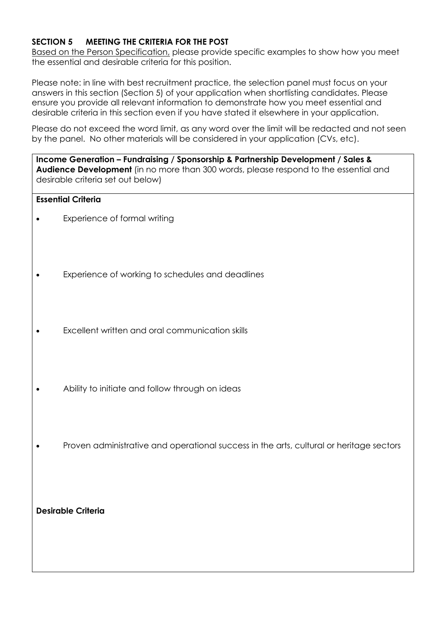# **SECTION 5 MEETING THE CRITERIA FOR THE POST**

Based on the Person Specification, please provide specific examples to show how you meet the essential and desirable criteria for this position.

Please note: in line with best recruitment practice, the selection panel must focus on your answers in this section (Section 5) of your application when shortlisting candidates. Please ensure you provide all relevant information to demonstrate how you meet essential and desirable criteria in this section even if you have stated it elsewhere in your application.

Please do not exceed the word limit, as any word over the limit will be redacted and not seen by the panel. No other materials will be considered in your application (CVs, etc).

**Income Generation – Fundraising / Sponsorship & Partnership Development / Sales & Audience Development** (in no more than 300 words, please respond to the essential and desirable criteria set out below)

## **Essential Criteria**

- Experience of formal writing
- Experience of working to schedules and deadlines
- Excellent written and oral communication skills
- Ability to initiate and follow through on ideas
- Proven administrative and operational success in the arts, cultural or heritage sectors

**Desirable Criteria**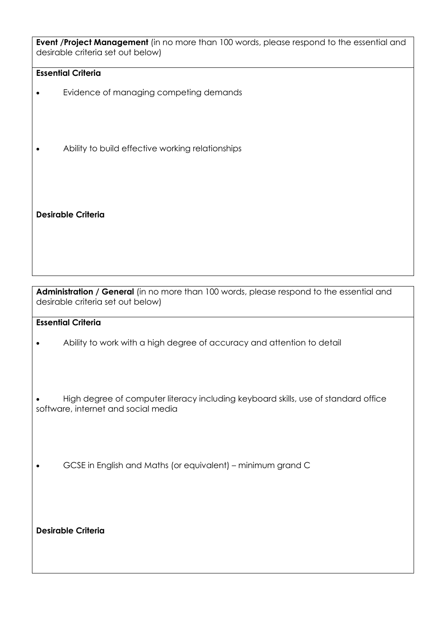**Event /Project Management** (in no more than 100 words, please respond to the essential and desirable criteria set out below)

## **Essential Criteria**

- Evidence of managing competing demands
- Ability to build effective working relationships

**Desirable Criteria**

**Administration / General** (in no more than 100 words, please respond to the essential and desirable criteria set out below)

#### **Essential Criteria**

• Ability to work with a high degree of accuracy and attention to detail

• High degree of computer literacy including keyboard skills, use of standard office software, internet and social media

• GCSE in English and Maths (or equivalent) – minimum grand C

**Desirable Criteria**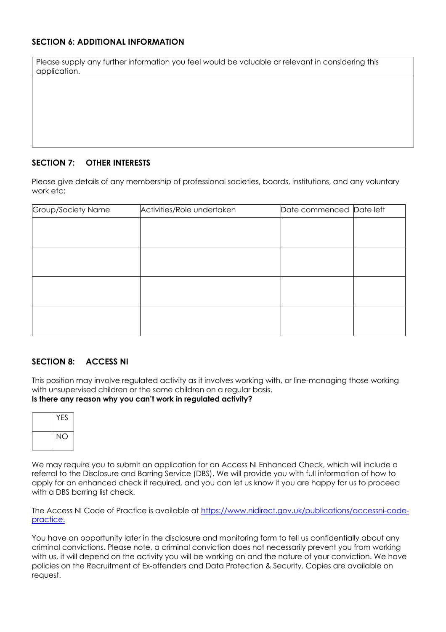# **SECTION 6: ADDITIONAL INFORMATION**

| Please supply any further information you feel would be valuable or relevant in considering this |  |
|--------------------------------------------------------------------------------------------------|--|
| application.                                                                                     |  |

### **SECTION 7: OTHER INTERESTS**

Please give details of any membership of professional societies, boards, institutions, and any voluntary work etc:

| Group/Society Name | Activities/Role undertaken | Date commenced Date left |
|--------------------|----------------------------|--------------------------|
|                    |                            |                          |
|                    |                            |                          |
|                    |                            |                          |
|                    |                            |                          |
|                    |                            |                          |
|                    |                            |                          |
|                    |                            |                          |
|                    |                            |                          |

#### **SECTION 8: ACCESS NI**

This position may involve regulated activity as it involves working with, or line-managing those working with unsupervised children or the same children on a regular basis.

#### **Is there any reason why you can't work in regulated activity?**



We may require you to submit an application for an Access NI Enhanced Check, which will include a referral to the Disclosure and Barring Service (DBS). We will provide you with full information of how to apply for an enhanced check if required, and you can let us know if you are happy for us to proceed with a DBS barring list check.

The Access NI Code of Practice is available at https://www.nidirect.gov.uk/publications/accessni-codepractice.

You have an opportunity later in the disclosure and monitoring form to tell us confidentially about any criminal convictions. Please note, a criminal conviction does not necessarily prevent you from working with us, it will depend on the activity you will be working on and the nature of your conviction. We have policies on the Recruitment of Ex-offenders and Data Protection & Security. Copies are available on request.